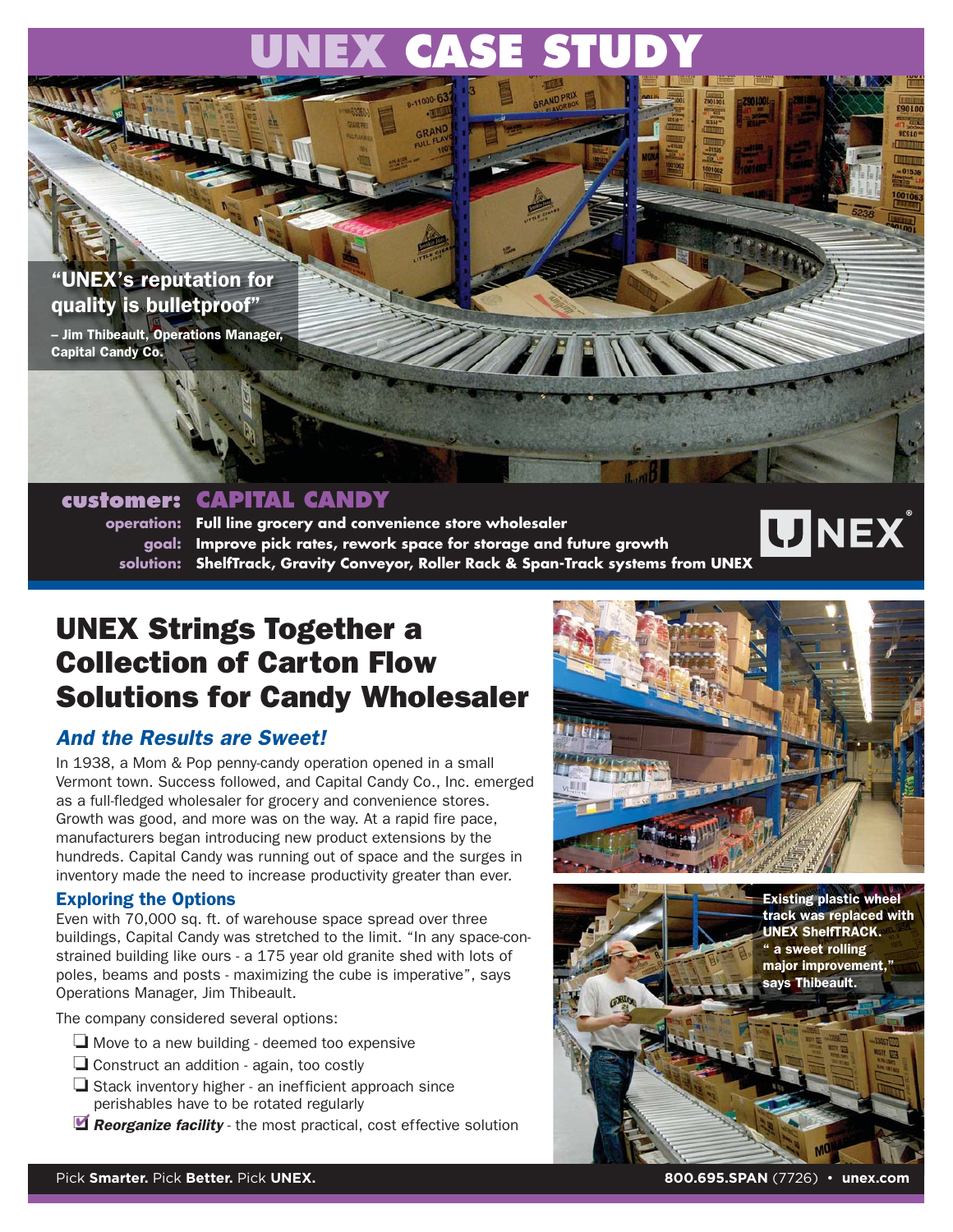# **UNEX CASE STUDY**

## "UNEX's reputation for quality is bulletproof"

– Jim Thibeault, Operations Manager, Capital Candy Co.

## **customer: CAPITAL CANDY**

**operation: Full line grocery and convenience store wholesaler goal: Improve pick rates, rework space for storage and future growth solution: ShelfTrack, Gravity Conveyor, Roller Rack & Span-Track systems from UNEX**

## UNEX Strings Together a Collection of Carton Flow Solutions for Candy Wholesaler

## And the Results are Sweet!

In 1938, a Mom & Pop penny-candy operation opened in a small Vermont town. Success followed, and Capital Candy Co., Inc. emerged as a full-fledged wholesaler for grocery and convenience stores. Growth was good, and more was on the way. At a rapid fire pace, manufacturers began introducing new product extensions by the hundreds. Capital Candy was running out of space and the surges in inventory made the need to increase productivity greater than ever.

## Exploring the Options

Even with 70,000 sq. ft. of warehouse space spread over three buildings, Capital Candy was stretched to the limit. "In any space-constrained building like ours - a 175 year old granite shed with lots of poles, beams and posts - maximizing the cube is imperative", says Operations Manager, Jim Thibeault.

The company considered several options:

- ❏ Move to a new building deemed too expensive
- ❏ Construct an addition again, too costly
- ❏ Stack inventory higher an inefficient approach since perishables have to be rotated regularly
- **Reorganize facility** the most practical, cost effective solution



**UNEX**